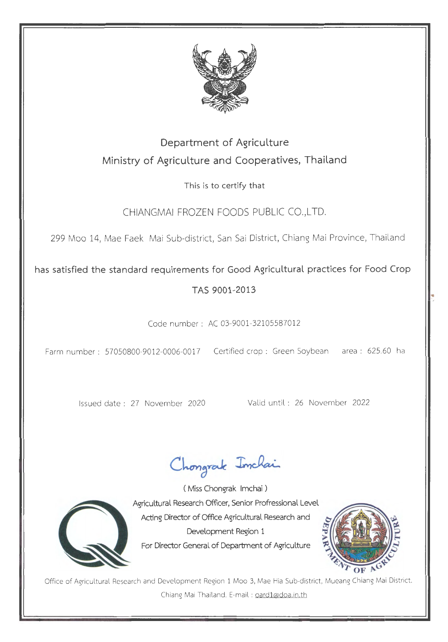

## Department of Agriculture Ministry of Agriculture and Cooperatives, Thailand

This is to certify that

CHIANGMAI FROZEN FOODS PUBLIC CO., LTD.

299 Moo 14, Mae Faek Mai Sub-district, San Sai District, Chiang Mai Province, Thailand

has satisfied the standard requirements for Good Agricultural practices for Food Crop

## TAS 9001-2013

Code number: AC 03-9001-32105587012

Farm number : 57050800-9012-0006-0017 Certified crop : Green Soybean area : 625.60 ha

Issued date : 27 November 2020 Valid until : 26 November 2022

Chongrak Inchai



( Miss Chongrak lmchai ) Agricultural Research Officer, Senior Profressional Level Acting Director of Office Agricultural Research and Development Region 1 For Director General of Department of Agriculture



..

Office of Agricultural Research and Development Region 1 Moo 3, Mae Hia Sub-district, Mueang Chiang Mai District, Chiang Mai Thailand. E-mail : oard1@doa.in.th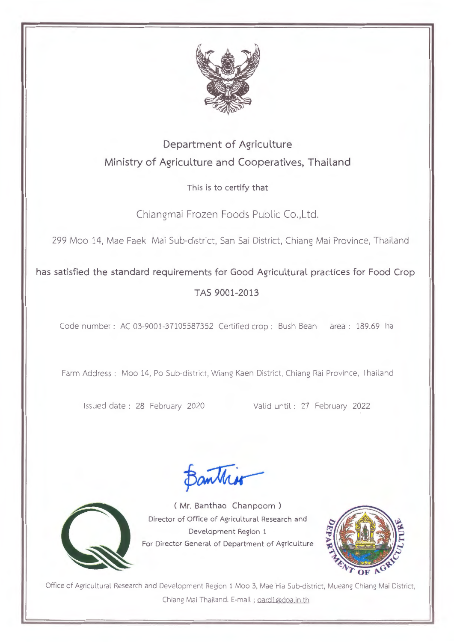

## Department of Agriculture Ministry of Agriculture and Cooperatives, Thailand

This is to certify that

Chiangmai Frozen Foods Public Co.,Ltd.

299 Moo 14, Mae Faek Mai Sub-district, San Sai District, Chiang Mai Province, Thailand

has satisfied the standard requirements for Good Agricultural practices for Food Crop TAS 9001-2013

Code number: AC 03-9001-37105587352 Certified crop: Bush Bean area : 189.69 ha

Farm Address : Moo 14, Po Sub-district, Wiang Kaen District, Chiang Rai Province, Thailand

Issued date : 28 February 2020 Valid until : 27 February 2022

Bankis



(Mr. Banthao Chanpoom ) Director of Office of Agricultural Research and Development Region 1 For Director General of Department of Agriculture



Office of Agricultural Research and Development Region 1 Moo 3, Mae Hia Sub-district, Mueang Chiang Mai District, Chiang Mai Thailand. E-mail ; oard1@doa.in.th